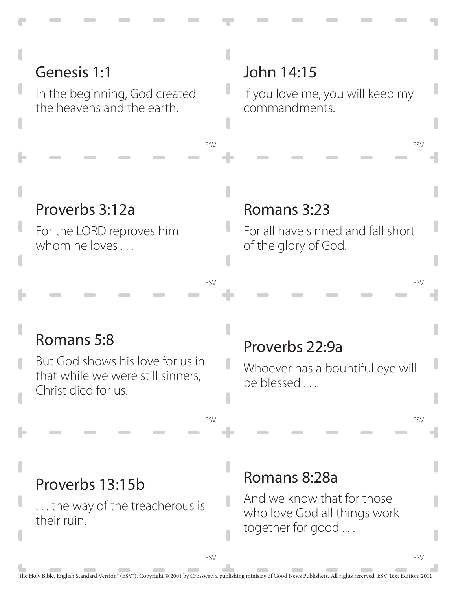## Genesis 1:1

In the beginning, God created the heavens and the earth.

#### John 14:15

ESV

ESV

ESV

If you love me, you will keep my commandments.

ESV

ESV

ESV

ESV

#### Proverbs 3:12a

For the LORD reproves him whom he loves ...

#### Romans 3:23

For all have sinned and fall short of the glory of God.

## Romans 5:8

But God shows his love for us in that while we were still sinners, Christ died for us.

#### Proverbs 22:9a

Whoever has a bountiful eye will be blessed . . .

#### Proverbs 13:15b

. . . the way of the treacherous is their ruin.

#### Romans 8:28a

And we know that for those who love God all things work together for good . . .

ESV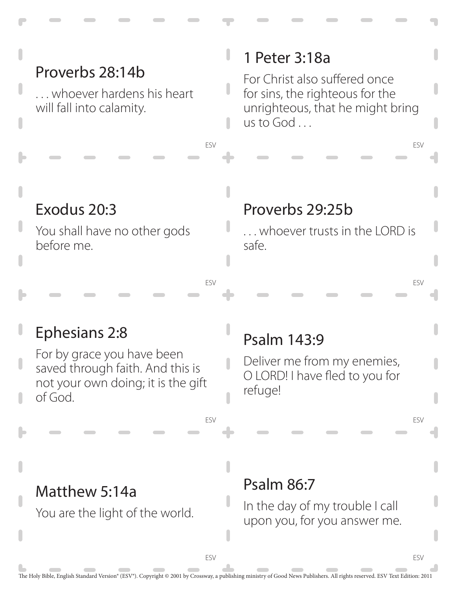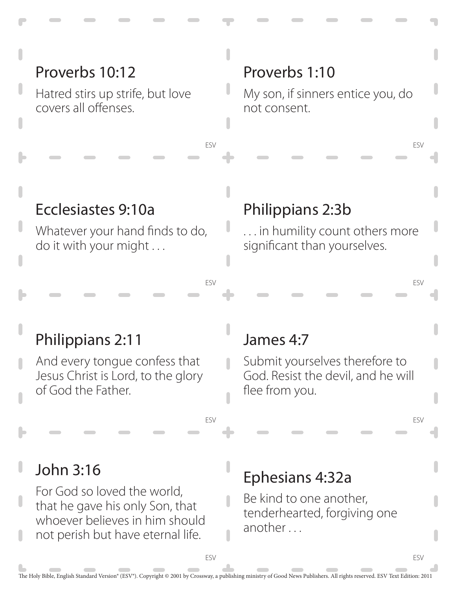## Proverbs 10:12

Hatred stirs up strife, but love covers all offenses.

#### Proverbs 1:10

My son, if sinners entice you, do not consent.

ESV

ESV

ESV

ESV

#### Ecclesiastes 9:10a

Whatever your hand finds to do, do it with your might . . .

#### Philippians 2:3b

. . . in humility count others more significant than yourselves.

#### Philippians 2:11

And every tongue confess that Jesus Christ is Lord, to the glory of God the Father.

#### James 4:7

Submit yourselves therefore to God. Resist the devil, and he will flee from you.

## John 3:16

For God so loved the world, that he gave his only Son, that whoever believes in him should not perish but have eternal life.

## Ephesians 4:32a

Be kind to one another, tenderhearted, forgiving one another . . .

ESV

ESV

ESV

ESV

 $\overline{\phantom{a}}$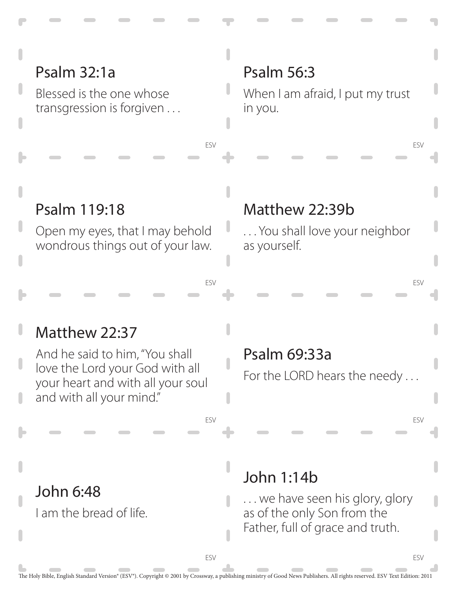## Psalm 32:1a

Blessed is the one whose transgression is forgiven . . .

#### Psalm 56:3

When I am afraid, I put my trust in you.

#### Psalm 119:18

Open my eyes, that I may behold wondrous things out of your law.

#### Matthew 22:39b

. . . You shall love your neighbor as yourself.

#### ESV

ESV

## Matthew 22:37

John 6:48

I am the bread of life.

And he said to him, "You shall love the Lord your God with all your heart and with all your soul and with all your mind."

#### Psalm 69:33a

For the LORD hears the needy ...

ESV

ESV

ESV

ESV

## John 1:14b

... we have seen his glory, glory as of the only Son from the Father, full of grace and truth.

ESV

ESV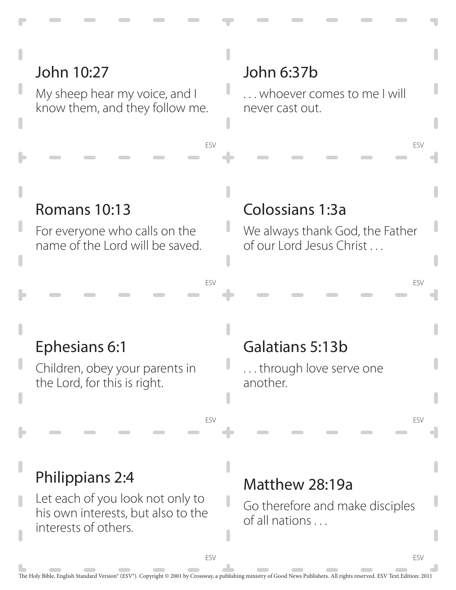## John 10:27

My sheep hear my voice, and I know them, and they follow me.

#### John 6:37b

ESV

ESV

ESV

. . . whoever comes to me I will never cast out.

ESV

ESV

ESV

ESV

#### Romans 10:13

For everyone who calls on the name of the Lord will be saved.

#### Colossians 1:3a

We always thank God, the Father of our Lord Jesus Christ . . .

#### Ephesians 6:1

Children, obey your parents in the Lord, for this is right.

## Galatians 5:13b

. . . through love serve one another.

## Philippians 2:4

Let each of you look not only to his own interests, but also to the interests of others.

#### Matthew 28:19a

Go therefore and make disciples of all nations . . .

ESV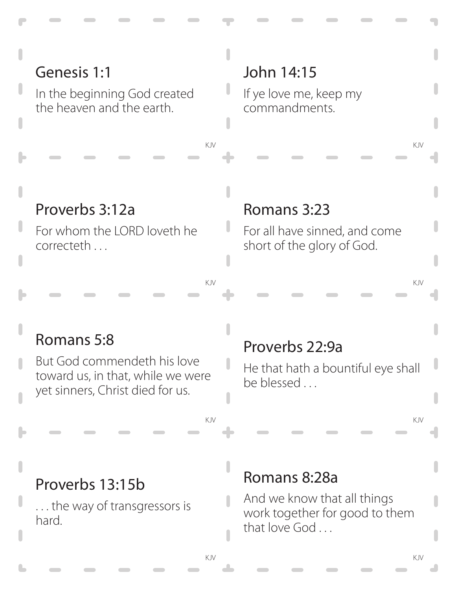## Genesis 1:1

In the beginning God created the heaven and the earth.

## John 14:15

If ye love me, keep my commandments.

KJV KJV

## Proverbs 3:12a

For whom the LORD loveth he correcteth . . .

#### Romans 3:23

For all have sinned, and come short of the glory of God.

KJV KJV

## Romans 5:8

But God commendeth his love toward us, in that, while we were yet sinners, Christ died for us.

#### Proverbs 22:9a

He that hath a bountiful eye shall be blessed . . .

KJV KJV

#### Proverbs 13:15b

. . . the way of transgressors is hard.

#### Romans 8:28a

And we know that all things work together for good to them that love God ...

L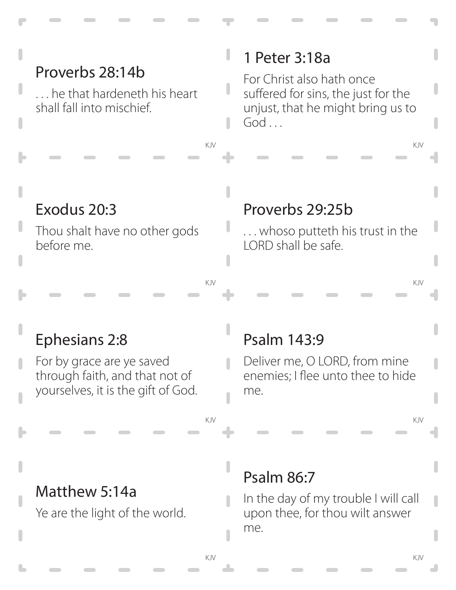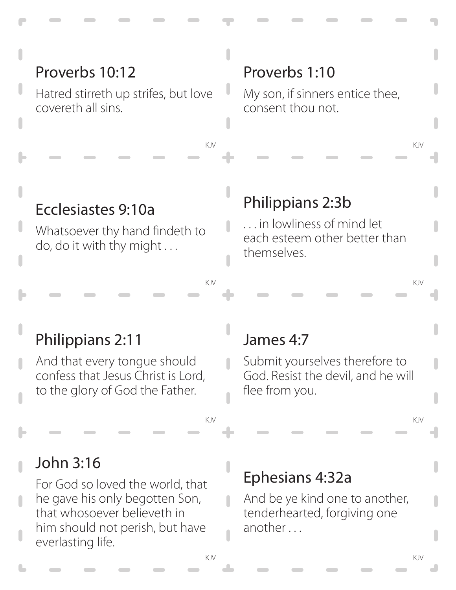## Proverbs 10:12

Hatred stirreth up strifes, but love covereth all sins.

#### Proverbs 1:10

My son, if sinners entice thee, consent thou not.

KJV KJV

#### Ecclesiastes 9:10a

Whatsoever thy hand findeth to do, do it with thy might . . .

#### Philippians 2:3b

. . . in lowliness of mind let each esteem other better than themselves.

KJV KJV

#### Philippians 2:11

And that every tongue should confess that Jesus Christ is Lord, to the glory of God the Father.

#### James 4:7

 $\overline{\phantom{a}}$ 

Submit yourselves therefore to God. Resist the devil, and he will flee from you.

KJV KJV

#### John 3:16

For God so loved the world, that he gave his only begotten Son, that whosoever believeth in him should not perish, but have everlasting life.

#### Ephesians 4:32a

And be ye kind one to another, tenderhearted, forgiving one another . . .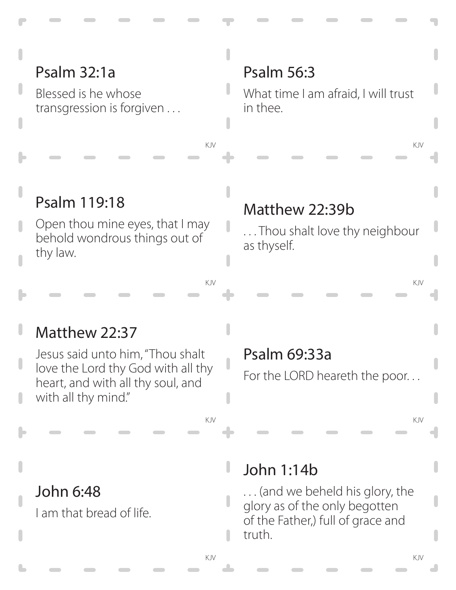## Psalm 32:1a

Blessed is he whose transgression is forgiven . . .

## Psalm 56:3

What time I am afraid, I will trust in thee.

KJV KJV

## Psalm 119:18

Open thou mine eyes, that I may behold wondrous things out of thy law.

#### Matthew 22:39b

. . . Thou shalt love thy neighbour as thyself.

KJV KJV

## Matthew 22:37

Jesus said unto him, "Thou shalt love the Lord thy God with all thy heart, and with all thy soul, and with all thy mind."

#### Psalm 69:33a

For the LORD heareth the poor. . .

KJV KJV

#### John 6:48

I am that bread of life.

#### John 1:14b

. . . (and we beheld his glory, the glory as of the only begotten of the Father,) full of grace and truth.

n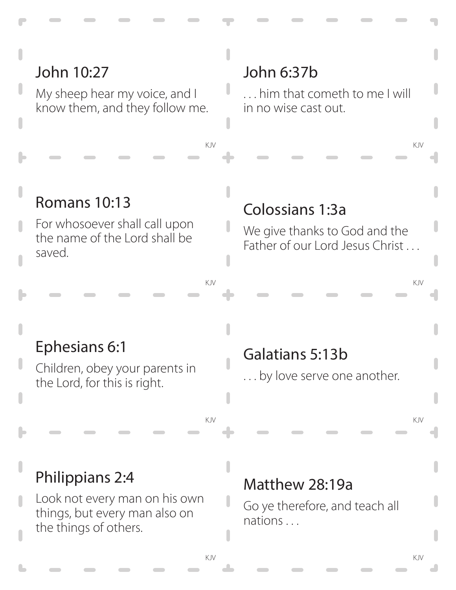## John 10:27

My sheep hear my voice, and I know them, and they follow me.

## John 6:37b

. . . him that cometh to me I will in no wise cast out.

KJV KJV

## Romans 10:13

For whosoever shall call upon the name of the Lord shall be saved.

#### Colossians 1:3a

We give thanks to God and the Father of our Lord Jesus Christ ...

KJV KJV

#### Ephesians 6:1

Children, obey your parents in the Lord, for this is right.

## Galatians 5:13b

. . . by love serve one another.

KJV KJV

## Philippians 2:4

Look not every man on his own things, but every man also on the things of others.

#### Matthew 28:19a

Go ye therefore, and teach all nations . . .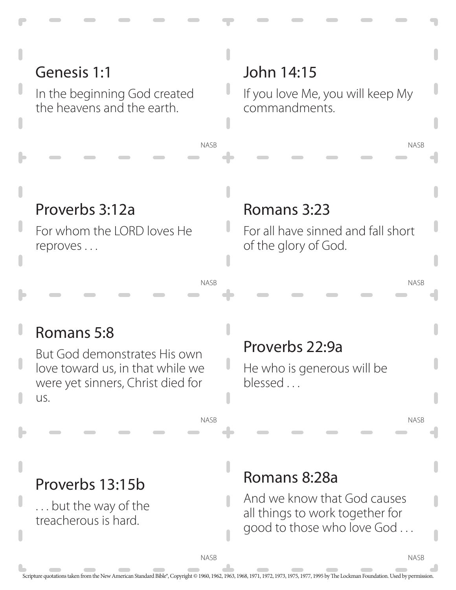

NASB

Scripture quotations taken from the New American Standard Bible®, Copyright © 1960, 1962, 1963, 1968, 1971, 1972, 1973, 1975, 1977, 1995 by The Lockman Foundation. Used by permission.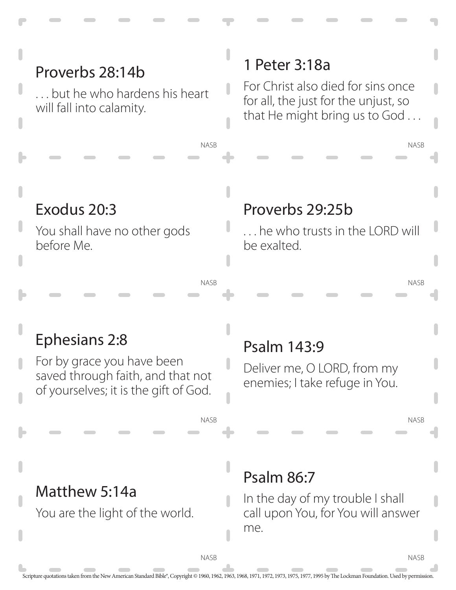#### NASB 1 Peter 3:18a For Christ also died for sins once for all, the just for the unjust, so that He might bring us to God . . . Proverbs 28:14b . . . but he who hardens his heart will fall into calamity.

## Exodus 20:3

You shall have no other gods before Me.

## Proverbs 29:25b

 $\ldots$  he who trusts in the LORD will be exalted.

#### NASB

NASB

# Ephesians 2:8

For by grace you have been saved through faith, and that not of yourselves; it is the gift of God.

## Psalm 143:9

Deliver me, O LORD, from my enemies; I take refuge in You.

NASB

NASB

NASB

## Matthew 5:14a

You are the light of the world.

## Psalm 86:7

In the day of my trouble I shall call upon You, for You will answer me.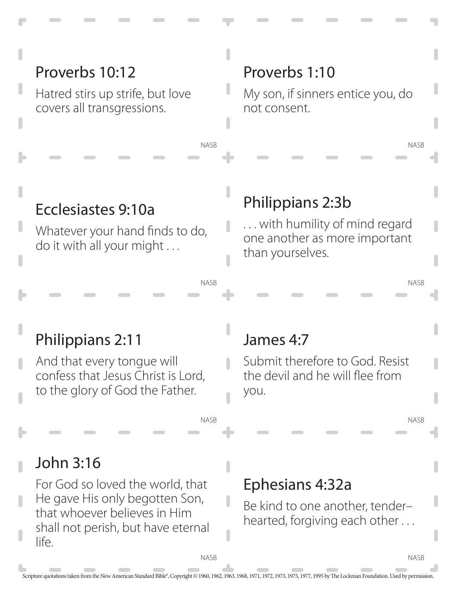## Proverbs 10:12

Hatred stirs up strife, but love covers all transgressions.

#### Proverbs 1:10

My son, if sinners entice you, do not consent.

NASB

NASB

NASB

NASB

#### Ecclesiastes 9:10a

Whatever your hand finds to do, do it with all your might . . .

## Philippians 2:3b

. . . with humility of mind regard one another as more important than yourselves.

# Philippians 2:11

And that every tongue will confess that Jesus Christ is Lord, to the glory of God the Father.

## James 4:7

Submit therefore to God. Resist the devil and he will flee from you.

## John 3:16

For God so loved the world, that He gave His only begotten Son, that whoever believes in Him shall not perish, but have eternal life.

#### Ephesians 4:32a

Be kind to one another, tender– hearted, forgiving each other . . .

**NASR** 

NASB

NASB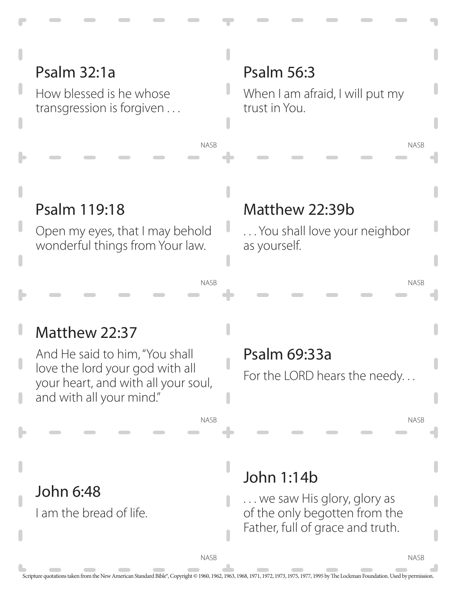## Psalm 32:1a

How blessed is he whose transgression is forgiven . . .

#### Psalm 56:3

When I am afraid, I will put my trust in You.

## Psalm 119:18

Open my eyes, that I may behold wonderful things from Your law.

#### Matthew 22:39b

. . . You shall love your neighbor as yourself.

#### NASB

NASB

## Matthew 22:37

John 6:48

I am the bread of life.

And He said to him, "You shall love the lord your god with all your heart, and with all your soul, and with all your mind."

#### Psalm 69:33a

For the LORD hears the needy. . .

NASB

**NASB** 

NASB

NASB

# John 1:14b

NASB

. . . we saw His glory, glory as of the only begotten from the Father, full of grace and truth.